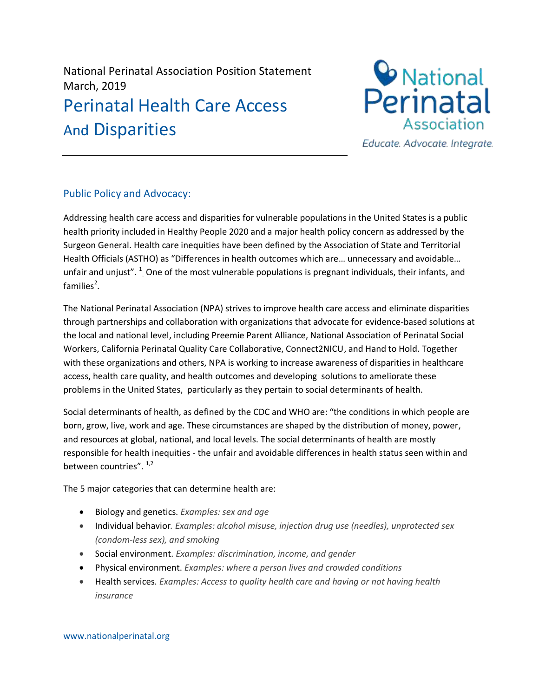National Perinatal Association Position Statement March, 2019 Perinatal Health Care Access And Disparities



# Public Policy and Advocacy:

Addressing health care access and disparities for vulnerable populations in the United States is a public health priority included in Healthy People 2020 and a major health policy concern as addressed by the Surgeon General. Health care inequities have been defined by the Association of State and Territorial Health Officials (ASTHO) as "Differences in health outcomes which are… unnecessary and avoidable… unfair and unjust".  $^{1}$  One of the most vulnerable populations is pregnant individuals, their infants, and families $^2$ .

The National Perinatal Association (NPA) strives to improve health care access and eliminate disparities through partnerships and collaboration with organizations that advocate for evidence-based solutions at the local and national level, including Preemie Parent Alliance, National Association of Perinatal Social Workers, California Perinatal Quality Care Collaborative, Connect2NICU, and Hand to Hold. Together with these organizations and others, NPA is working to increase awareness of disparities in healthcare access, health care quality, and health outcomes and developing solutions to ameliorate these problems in the United States, particularly as they pertain to social determinants of health.

Social determinants of health, as defined by the CDC and WHO are: "the conditions in which people are born, grow, live, work and age. These circumstances are shaped by the distribution of money, power, and resources at global, national, and local levels. The social determinants of health are mostly responsible for health inequities - the unfair and avoidable differences in health status seen within and between countries". <sup>1,2</sup>

The 5 major categories that can determine health are:

- Biology and genetics. *Examples: sex and age*
- Individual behavior*. Examples: alcohol misuse, injection drug use (needles), unprotected sex (condom-less sex), and smoking*
- Social environment. *Examples: discrimination, income, and gender*
- Physical environment. *Examples: where a person lives and crowded conditions*
- Health services. *Examples: Access to quality health care and having or not having health insurance*

www.nationalperinatal.org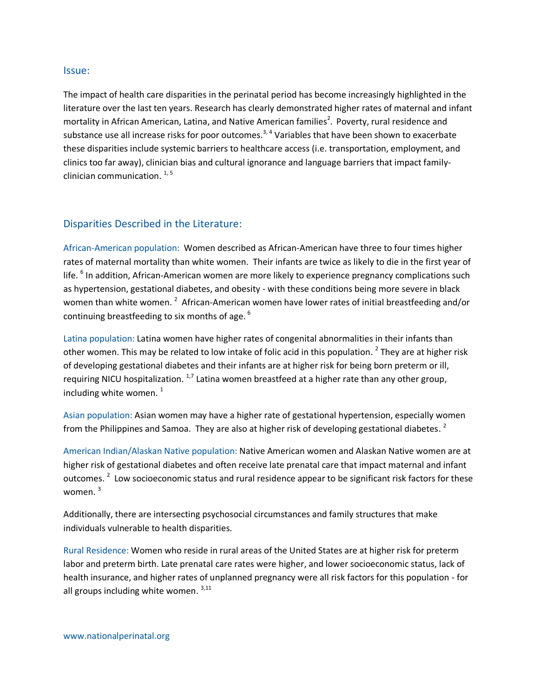#### Issue:

The impact of health care disparities in the perinatal period has become increasingly highlighted in the literature over the last ten years. Research has clearly demonstrated higher rates of maternal and infant mortality in African American, Latina, and Native American families<sup>2</sup>. Poverty, rural residence and substance use all increase risks for poor outcomes.<sup>3, 4</sup> Variables that have been shown to exacerbate these disparities include systemic barriers to healthcare access (i.e. transportation, employment, and clinics too far away), clinician bias and cultural ignorance and language barriers that impact familyclinician communication.  $1, 5$ 

#### Disparities Described in the Literature:

African-American population: Women described as African-American have three to four times higher rates of maternal mortality than white women. Their infants are twice as likely to die in the first year of life. <sup>6</sup> In addition, African-American women are more likely to experience pregnancy complications such as hypertension, gestational diabetes, and obesity - with these conditions being more severe in black women than white women. <sup>2</sup> African-American women have lower rates of initial breastfeeding and/or continuing breastfeeding to six months of age.<sup>6</sup>

Latina population: Latina women have higher rates of congenital abnormalities in their infants than other women. This may be related to low intake of folic acid in this population. <sup>2</sup> They are at higher risk of developing gestational diabetes and their infants are at higher risk for being born preterm or ill, requiring NICU hospitalization.  $1/7$  Latina women breastfeed at a higher rate than any other group, including white women. $1$ 

Asian population: Asian women may have a higher rate of gestational hypertension, especially women from the Philippines and Samoa. They are also at higher risk of developing gestational diabetes.<sup>2</sup>

American Indian/Alaskan Native population: Native American women and Alaskan Native women are at higher risk of gestational diabetes and often receive late prenatal care that impact maternal and infant outcomes.  $^2$  Low socioeconomic status and rural residence appear to be significant risk factors for these women. <sup>3</sup>

Additionally, there are intersecting psychosocial circumstances and family structures that make individuals vulnerable to health disparities.

Rural Residence: Women who reside in rural areas of the United States are at higher risk for preterm labor and preterm birth. Late prenatal care rates were higher, and lower socioeconomic status, lack of health insurance, and higher rates of unplanned pregnancy were all risk factors for this population - for all groups including white women.  $3,11$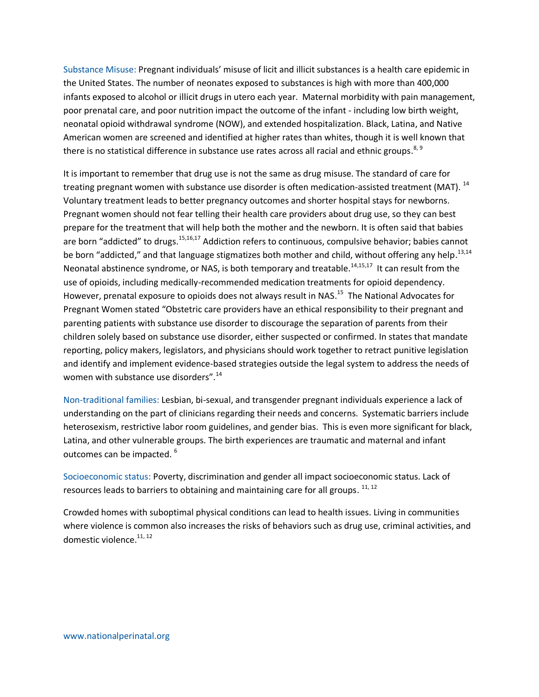Substance Misuse: Pregnant individuals' misuse of licit and illicit substances is a health care epidemic in the United States. The number of neonates exposed to substances is high with more than 400,000 infants exposed to alcohol or illicit drugs in utero each year. Maternal morbidity with pain management, poor prenatal care, and poor nutrition impact the outcome of the infant - including low birth weight, neonatal opioid withdrawal syndrome (NOW), and extended hospitalization. Black, Latina, and Native American women are screened and identified at higher rates than whites, though it is well known that there is no statistical difference in substance use rates across all racial and ethnic groups.<sup>8, 9</sup>

It is important to remember that drug use is not the same as drug misuse. The standard of care for treating pregnant women with substance use disorder is often medication-assisted treatment (MAT).  $^{14}$ Voluntary treatment leads to better pregnancy outcomes and shorter hospital stays for newborns. Pregnant women should not fear telling their health care providers about drug use, so they can best prepare for the treatment that will help both the mother and the newborn. It is often said that babies are born "addicted" to drugs.<sup>15,16,17</sup> Addiction refers to continuous, compulsive behavior; babies cannot be born "addicted," and that language stigmatizes both mother and child, without offering any help.<sup>13,14</sup> Neonatal abstinence syndrome, or NAS, is both temporary and treatable.<sup>14,15,17</sup> It can result from the use of opioids, including medically-recommended medication treatments for opioid dependency. However, prenatal exposure to opioids does not always result in NAS.<sup>15</sup> The National Advocates for Pregnant Women stated "Obstetric care providers have an ethical responsibility to their pregnant and parenting patients with substance use disorder to discourage the separation of parents from their children solely based on substance use disorder, either suspected or confirmed. In states that mandate reporting, policy makers, legislators, and physicians should work together to retract punitive legislation and identify and implement evidence-based strategies outside the legal system to address the needs of women with substance use disorders".<sup>14</sup>

Non-traditional families: Lesbian, bi-sexual, and transgender pregnant individuals experience a lack of understanding on the part of clinicians regarding their needs and concerns. Systematic barriers include heterosexism, restrictive labor room guidelines, and gender bias. This is even more significant for black, Latina, and other vulnerable groups. The birth experiences are traumatic and maternal and infant outcomes can be impacted.<sup>6</sup>

Socioeconomic status: Poverty, discrimination and gender all impact socioeconomic status. Lack of resources leads to barriers to obtaining and maintaining care for all groups.  $11, 12$ 

Crowded homes with suboptimal physical conditions can lead to health issues. Living in communities where violence is common also increases the risks of behaviors such as drug use, criminal activities, and domestic violence. $^{11, 12}$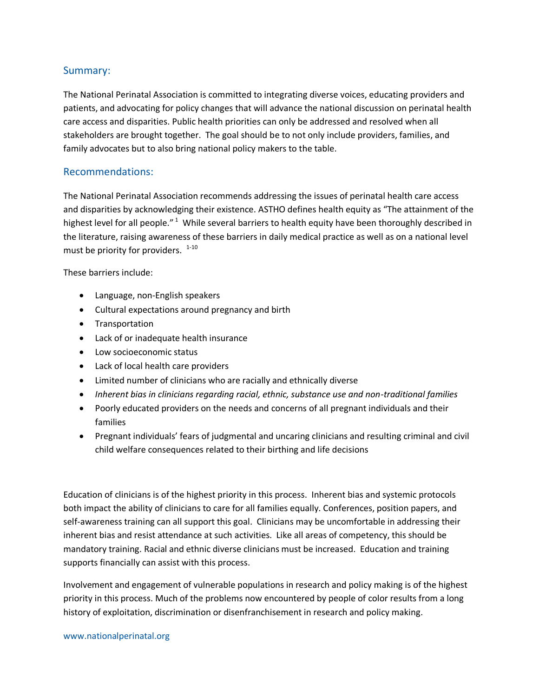# Summary:

The National Perinatal Association is committed to integrating diverse voices, educating providers and patients, and advocating for policy changes that will advance the national discussion on perinatal health care access and disparities. Public health priorities can only be addressed and resolved when all stakeholders are brought together. The goal should be to not only include providers, families, and family advocates but to also bring national policy makers to the table.

## Recommendations:

The National Perinatal Association recommends addressing the issues of perinatal health care access and disparities by acknowledging their existence. ASTHO defines health equity as "The attainment of the highest level for all people."<sup>1</sup> While several barriers to health equity have been thoroughly described in the literature, raising awareness of these barriers in daily medical practice as well as on a national level must be priority for providers.  $1-10$ 

These barriers include:

- Language, non-English speakers
- Cultural expectations around pregnancy and birth
- **•** Transportation
- Lack of or inadequate health insurance
- Low socioeconomic status
- Lack of local health care providers
- Limited number of clinicians who are racially and ethnically diverse
- *Inherent bias in clinicians regarding racial, ethnic, substance use and non-traditional families*
- Poorly educated providers on the needs and concerns of all pregnant individuals and their families
- Pregnant individuals' fears of judgmental and uncaring clinicians and resulting criminal and civil child welfare consequences related to their birthing and life decisions

Education of clinicians is of the highest priority in this process. Inherent bias and systemic protocols both impact the ability of clinicians to care for all families equally. Conferences, position papers, and self-awareness training can all support this goal. Clinicians may be uncomfortable in addressing their inherent bias and resist attendance at such activities. Like all areas of competency, this should be mandatory training. Racial and ethnic diverse clinicians must be increased. Education and training supports financially can assist with this process.

Involvement and engagement of vulnerable populations in research and policy making is of the highest priority in this process. Much of the problems now encountered by people of color results from a long history of exploitation, discrimination or disenfranchisement in research and policy making.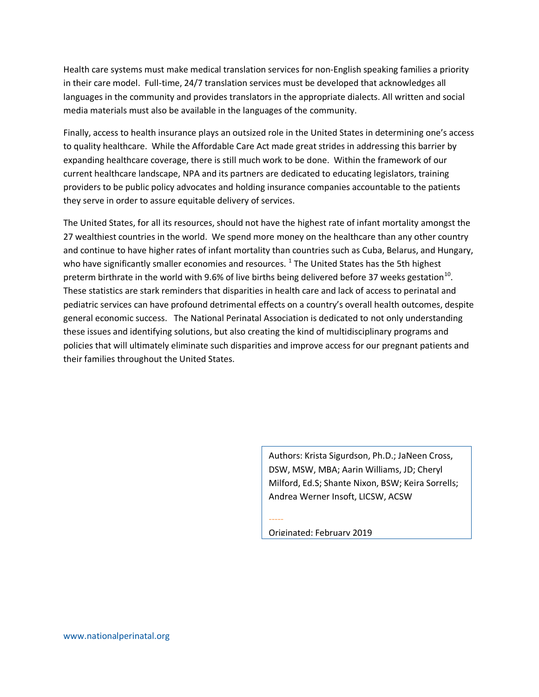Health care systems must make medical translation services for non-English speaking families a priority in their care model. Full-time, 24/7 translation services must be developed that acknowledges all languages in the community and provides translators in the appropriate dialects. All written and social media materials must also be available in the languages of the community.

Finally, access to health insurance plays an outsized role in the United States in determining one's access to quality healthcare. While the Affordable Care Act made great strides in addressing this barrier by expanding healthcare coverage, there is still much work to be done. Within the framework of our current healthcare landscape, NPA and its partners are dedicated to educating legislators, training providers to be public policy advocates and holding insurance companies accountable to the patients they serve in order to assure equitable delivery of services.

The United States, for all its resources, should not have the highest rate of infant mortality amongst the 27 wealthiest countries in the world. We spend more money on the healthcare than any other country and continue to have higher rates of infant mortality than countries such as Cuba, Belarus, and Hungary, who have significantly smaller economies and resources.  $^1$  The United States has the 5th highest preterm birthrate in the world with 9.6% of live births being delivered before 37 weeks gestation<sup>10</sup>. These statistics are stark reminders that disparities in health care and lack of access to perinatal and pediatric services can have profound detrimental effects on a country's overall health outcomes, despite general economic success. The National Perinatal Association is dedicated to not only understanding these issues and identifying solutions, but also creating the kind of multidisciplinary programs and policies that will ultimately eliminate such disparities and improve access for our pregnant patients and their families throughout the United States.

> Authors: Krista Sigurdson, Ph.D.; JaNeen Cross, DSW, MSW, MBA; Aarin Williams, JD; Cheryl Milford, Ed.S; Shante Nixon, BSW; Keira Sorrells; Andrea Werner Insoft, LICSW, ACSW

Originated: February 2019

-----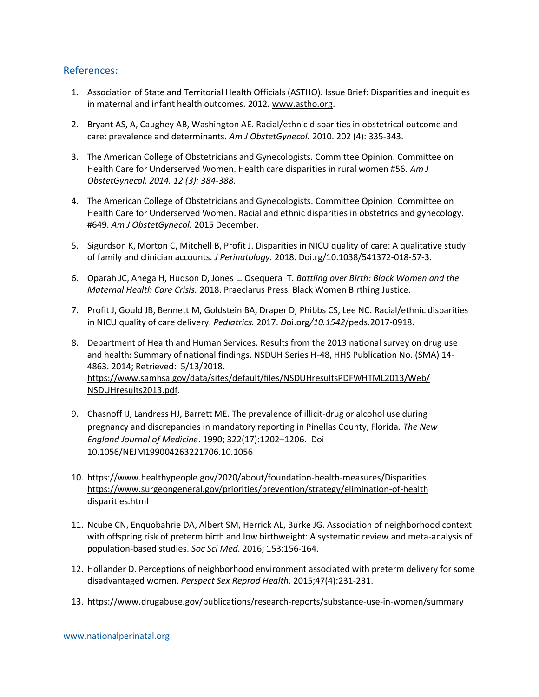## References:

- 1. Association of State and Territorial Health Officials (ASTHO). Issue Brief: Disparities and inequities in maternal and infant health outcomes. 2012. [www.astho.org.](http://www.astho.org/)
- 2. Bryant AS, A, Caughey AB, Washington AE. Racial/ethnic disparities in obstetrical outcome and care: prevalence and determinants. *Am J ObstetGynecol.* 2010. 202 (4): 335-343.
- 3. The American College of Obstetricians and Gynecologists. Committee Opinion. Committee on Health Care for Underserved Women. Health care disparities in rural women #56. *Am J ObstetGynecol. 2014. 12 (3): 384-388.*
- 4. The American College of Obstetricians and Gynecologists. Committee Opinion. Committee on Health Care for Underserved Women. Racial and ethnic disparities in obstetrics and gynecology. #649. *Am J ObstetGynecol.* 2015 December.
- 5. Sigurdson K, Morton C, Mitchell B, Profit J. Disparities in NICU quality of care: A qualitative study of family and clinician accounts. *J Perinatology.* 2018. Doi.rg/10.1038/541372-018-57-3.
- 6. Oparah JC, Anega H, Hudson D, Jones L. Osequera T. *Battling over Birth: Black Women and the Maternal Health Care Crisis.* 2018. Praeclarus Press. Black Women Birthing Justice.
- 7. Profit J, Gould JB, Bennett M, Goldstein BA, Draper D, Phibbs CS, Lee NC. Racial/ethnic disparities in NICU quality of care delivery. *Pediatrics.* 2017. *D*oi.org*/10.1542*/peds.2017-0918.
- 8. Department of Health and Human Services. Results from the 2013 national survey on drug use and health: Summary of national findings. NSDUH Series H-48, HHS Publication No. (SMA) 14- 4863. 2014; Retrieved: 5/13/2018. [https://www.samhsa.gov/data/sites/default/files/NSDUHresultsPDFWHTML2013/Web/](https://www.samhsa.gov/data/sites/default/files/NSDUHresultsPDFWHTML2013/Web/NSDUHresults2013.pdf)  [NSDUHresults2013.pdf.](https://www.samhsa.gov/data/sites/default/files/NSDUHresultsPDFWHTML2013/Web/NSDUHresults2013.pdf)
- 9. Chasnoff IJ, Landress HJ, Barrett ME. The prevalence of illicit-drug or alcohol use during pregnancy and discrepancies in mandatory reporting in Pinellas County, Florida. *The New England Journal of Medicine*. 1990; 322(17):1202–1206. Doi 10.1056/NEJM199004263221706.10.1056
- 10. https://www.healthypeople.gov/2020/about/foundation-health-measures/Disparities [https://www.surgeongeneral.gov/priorities/prevention/strategy/elimination-of-health](https://www.surgeongeneral.gov/priorities/prevention/strategy/elimination-of-health%20disparities.html)  [disparities.html](https://www.surgeongeneral.gov/priorities/prevention/strategy/elimination-of-health%20disparities.html)
- 11. Ncube CN, Enquobahrie DA, Albert SM, Herrick AL, Burke JG. Association of neighborhood context with offspring risk of preterm birth and low birthweight: A systematic review and meta-analysis of population-based studies. *Soc Sci Med*. 2016; 153:156-164.
- 12. Hollander D. Perceptions of neighborhood environment associated with preterm delivery for some disadvantaged women. *Perspect Sex Reprod Health*. 2015;47(4):231-231.
- 13. https://www.drugabuse.gov/publications/research-reports/substance-use-in-women/summary